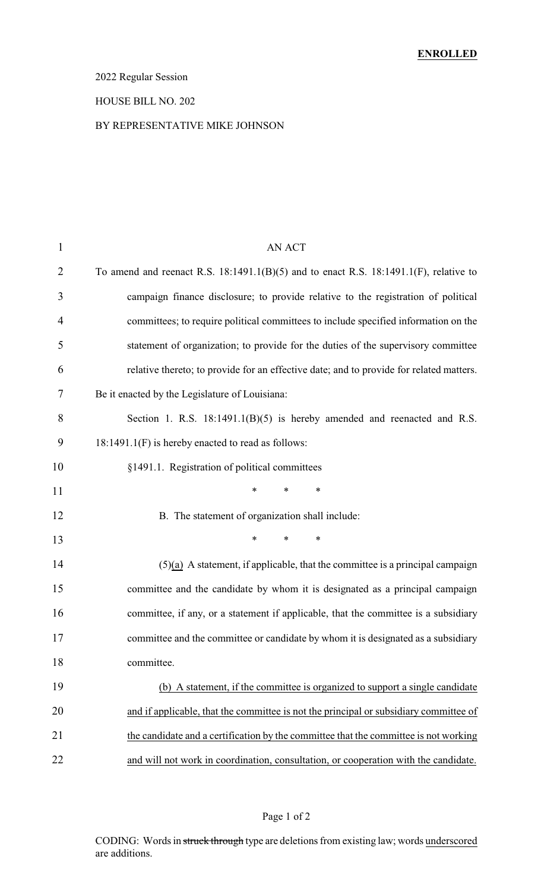### 2022 Regular Session

#### HOUSE BILL NO. 202

#### BY REPRESENTATIVE MIKE JOHNSON

| $\mathbf{1}$   | <b>AN ACT</b>                                                                              |
|----------------|--------------------------------------------------------------------------------------------|
| $\overline{2}$ | To amend and reenact R.S. $18:1491.1(B)(5)$ and to enact R.S. $18:1491.1(F)$ , relative to |
| 3              | campaign finance disclosure; to provide relative to the registration of political          |
| 4              | committees; to require political committees to include specified information on the        |
| 5              | statement of organization; to provide for the duties of the supervisory committee          |
| 6              | relative thereto; to provide for an effective date; and to provide for related matters.    |
| 7              | Be it enacted by the Legislature of Louisiana:                                             |
| 8              | Section 1. R.S. $18:1491.1(B)(5)$ is hereby amended and reenacted and R.S.                 |
| 9              | 18:1491.1(F) is hereby enacted to read as follows:                                         |
| 10             | §1491.1. Registration of political committees                                              |
| 11             | *<br>$\ast$<br>$\ast$                                                                      |
| 12             | B. The statement of organization shall include:                                            |
| 13             | $\ast$<br>$\ast$<br>∗                                                                      |
| 14             | $(5)(a)$ A statement, if applicable, that the committee is a principal campaign            |
| 15             | committee and the candidate by whom it is designated as a principal campaign               |
| 16             | committee, if any, or a statement if applicable, that the committee is a subsidiary        |
| 17             | committee and the committee or candidate by whom it is designated as a subsidiary          |
| 18             | committee.                                                                                 |
| 19             | (b) A statement, if the committee is organized to support a single candidate               |
| 20             | and if applicable, that the committee is not the principal or subsidiary committee of      |
| 21             | the candidate and a certification by the committee that the committee is not working       |
| 22             | and will not work in coordination, consultation, or cooperation with the candidate.        |

### Page 1 of 2

CODING: Words in struck through type are deletions from existing law; words underscored are additions.